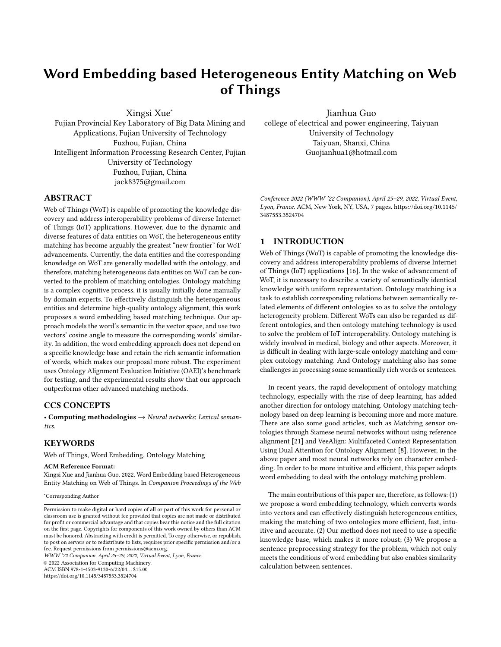# Word Embedding based Heterogeneous Entity Matching on Web of Things

Xingsi Xue<sup>∗</sup>

Jianhua Guo

Fujian Provincial Key Laboratory of Big Data Mining and Applications, Fujian University of Technology Fuzhou, Fujian, China Intelligent Information Processing Research Center, Fujian University of Technology Fuzhou, Fujian, China jack8375@gmail.com

college of electrical and power engineering, Taiyuan University of Technology Taiyuan, Shanxi, China Guojianhua1@hotmail.com

## ABSTRACT

Web of Things (WoT) is capable of promoting the knowledge discovery and address interoperability problems of diverse Internet of Things (IoT) applications. However, due to the dynamic and diverse features of data entities on WoT, the heterogeneous entity matching has become arguably the greatest "new frontier" for WoT advancements. Currently, the data entities and the corresponding knowledge on WoT are generally modelled with the ontology, and therefore, matching heterogeneous data entities on WoT can be converted to the problem of matching ontologies. Ontology matching is a complex cognitive process, it is usually initially done manually by domain experts. To effectively distinguish the heterogeneous entities and determine high-quality ontology alignment, this work proposes a word embedding based matching technique. Our approach models the word's semantic in the vector space, and use two vectors' cosine angle to measure the corresponding words' similarity. In addition, the word embedding approach does not depend on a specific knowledge base and retain the rich semantic information of words, which makes our proposal more robust. The experiment uses Ontology Alignment Evaluation Initiative (OAEI)'s benchmark for testing, and the experimental results show that our approach outperforms other advanced matching methods.

## CCS CONCEPTS

• Computing methodologies  $\rightarrow$  Neural networks; Lexical semantics.

## **KEYWORDS**

Web of Things, Word Embedding, Ontology Matching

#### ACM Reference Format:

Xingsi Xue and Jianhua Guo. 2022. Word Embedding based Heterogeneous Entity Matching on Web of Things. In Companion Proceedings of the Web

<sup>∗</sup>Corresponding Author

WWW '22 Companion, April 25–29, 2022, Virtual Event, Lyon, France

© 2022 Association for Computing Machinery.

ACM ISBN 978-1-4503-9130-6/22/04. . . \$15.00

<https://doi.org/10.1145/3487553.3524704>

Conference 2022 (WWW '22 Companion), April 25–29, 2022, Virtual Event, Lyon, France. ACM, New York, NY, USA, [7](#page-6-0) pages. [https://doi.org/10.1145/](https://doi.org/10.1145/3487553.3524704) [3487553.3524704](https://doi.org/10.1145/3487553.3524704)

## 1 INTRODUCTION

Web of Things (WoT) is capable of promoting the knowledge discovery and address interoperability problems of diverse Internet of Things (IoT) applications [\[16\]](#page-6-1). In the wake of advancement of WoT, it is necessary to describe a variety of semantically identical knowledge with uniform representation. Ontology matching is a task to establish corresponding relations between semantically related elements of different ontologies so as to solve the ontology heterogeneity problem. Different WoTs can also be regarded as different ontologies, and then ontology matching technology is used to solve the problem of IoT interoperability. Ontology matching is widely involved in medical, biology and other aspects. Moreover, it is difficult in dealing with large-scale ontology matching and complex ontology matching. And Ontology matching also has some challenges in processing some semantically rich words or sentences.

In recent years, the rapid development of ontology matching technology, especially with the rise of deep learning, has added another direction for ontology matching. Ontology matching technology based on deep learning is becoming more and more mature. There are also some good articles, such as Matching sensor ontologies through Siamese neural networks without using reference alignment [\[21\]](#page-6-2) and VeeAlign: Multifaceted Context Representation Using Dual Attention for Ontology Alignment [\[8\]](#page-6-3). However, in the above paper and most neural networks rely on character embedding. In order to be more intuitive and efficient, this paper adopts word embedding to deal with the ontology matching problem.

The main contributions of this paper are, therefore, as follows: (1) we propose a word embedding technology, which converts words into vectors and can effectively distinguish heterogeneous entities, making the matching of two ontologies more efficient, fast, intuitive and accurate. (2) Our method does not need to use a specific knowledge base, which makes it more robust; (3) We propose a sentence preprocessing strategy for the problem, which not only meets the conditions of word embedding but also enables similarity calculation between sentences.

Permission to make digital or hard copies of all or part of this work for personal or classroom use is granted without fee provided that copies are not made or distributed for profit or commercial advantage and that copies bear this notice and the full citation on the first page. Copyrights for components of this work owned by others than ACM must be honored. Abstracting with credit is permitted. To copy otherwise, or republish, to post on servers or to redistribute to lists, requires prior specific permission and/or a fee. Request permissions from permissions@acm.org.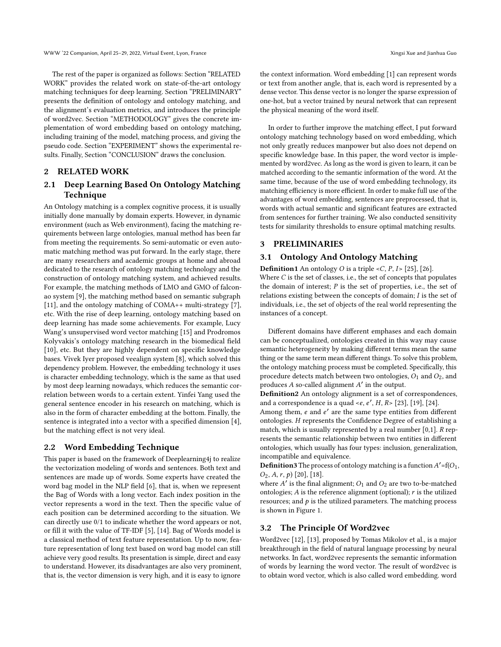The rest of the paper is organized as follows: Section "RELATED WORK" provides the related work on state-of-the-art ontology matching techniques for deep learning. Section "PRELIMINARY" presents the definition of ontology and ontology matching, and the alignment's evaluation metrics, and introduces the principle of word2vec. Section "METHODOLOGY" gives the concrete implementation of word embedding based on ontology matching, including training of the model, matching process, and giving the pseudo code. Section "EXPERIMENT" shows the experimental results. Finally, Section "CONCLUSION" draws the conclusion.

## 2 RELATED WORK

## 2.1 Deep Learning Based On Ontology Matching Technique

An Ontology matching is a complex cognitive process, it is usually initially done manually by domain experts. However, in dynamic environment (such as Web environment), facing the matching requirements between large ontologies, manual method has been far from meeting the requirements. So semi-automatic or even automatic matching method was put forward. In the early stage, there are many researchers and academic groups at home and abroad dedicated to the research of ontology matching technology and the construction of ontology matching system, and achieved results. For example, the matching methods of LMO and GMO of falconao system [\[9\]](#page-6-4), the matching method based on semantic subgraph [\[11\]](#page-6-5), and the ontology matching of COMA++ multi-strategy [\[7\]](#page-6-6), etc. With the rise of deep learning, ontology matching based on deep learning has made some achievements. For example, Lucy Wang's unsupervised word vector matching [\[15\]](#page-6-7) and Prodromos Kolyvakis's ontology matching research in the biomedical field [\[10\]](#page-6-8), etc. But they are highly dependent on specific knowledge bases. Vivek Iyer proposed veealign system [\[8\]](#page-6-3), which solved this dependency problem. However, the embedding technology it uses is character embedding technology, which is the same as that used by most deep learning nowadays, which reduces the semantic correlation between words to a certain extent. Yinfei Yang used the general sentence encoder in his research on matching, which is also in the form of character embedding at the bottom. Finally, the sentence is integrated into a vector with a specified dimension [\[4\]](#page-6-9), but the matching effect is not very ideal.

#### 2.2 Word Embedding Technique

This paper is based on the framework of Deeplearning4j to realize the vectorization modeling of words and sentences. Both text and sentences are made up of words. Some experts have created the word bag model in the NLP field [\[6\]](#page-6-10), that is, when we represent the Bag of Words with a long vector. Each index position in the vector represents a word in the text. Then the specific value of each position can be determined according to the situation. We can directly use 0/1 to indicate whether the word appears or not, or fill it with the value of TF-IDF [\[5\]](#page-6-11), [\[14\]](#page-6-12). Bag of Words model is a classical method of text feature representation. Up to now, feature representation of long text based on word bag model can still achieve very good results. Its presentation is simple, direct and easy to understand. However, its disadvantages are also very prominent, that is, the vector dimension is very high, and it is easy to ignore

the context information. Word embedding [\[1\]](#page-6-13) can represent words or text from another angle, that is, each word is represented by a dense vector. This dense vector is no longer the sparse expression of one-hot, but a vector trained by neural network that can represent the physical meaning of the word itself.

In order to further improve the matching effect, I put forward ontology matching technology based on word embedding, which not only greatly reduces manpower but also does not depend on specific knowledge base. In this paper, the word vector is implemented by word2vec. As long as the word is given to learn, it can be matched according to the semantic information of the word. At the same time, because of the use of word embedding technology, its matching efficiency is more efficient. In order to make full use of the advantages of word embedding, sentences are preprocessed, that is, words with actual semantic and significant features are extracted from sentences for further training. We also conducted sensitivity tests for similarity thresholds to ensure optimal matching results.

## 3 PRELIMINARIES

instances of a concept.

## 3.1 Ontology And Ontology Matching

**Definition1** An ontology *O* is a triple < $C$ ,  $P$ ,  $I$  > [\[25\]](#page-6-14), [\[26\]](#page-6-15). Where  $C$  is the set of classes, i.e., the set of concepts that populates the domain of interest;  $P$  is the set of properties, i.e., the set of relations existing between the concepts of domain;  $I$  is the set of individuals, i.e., the set of objects of the real world representing the

Different domains have different emphases and each domain can be conceptualized, ontologies created in this way may cause semantic heterogeneity by making different terms mean the same thing or the same term mean different things. To solve this problem, the ontology matching process must be completed. Specifically, this procedure detects match between two ontologies,  $O_1$  and  $O_2$ , and produces  $A$  so-called alignment  $A'$  in the output.

Definition2 An ontology alignment is a set of correspondences, and a correspondence is a quad  $\lt e$ ,  $e'$ ,  $H$ ,  $R$  > [\[23\]](#page-6-16), [\[19\]](#page-6-17), [\[24\]](#page-6-18).

Among them,  $e$  and  $e'$  are the same type entities from different ontologies. H represents the Confidence Degree of establishing a match, which is usually represented by a real number  $[0,1]$ .  $R$  represents the semantic relationship between two entities in different ontologies, which usually has four types: inclusion, generalization, incompatible and equivalence.

**Definition3** The process of ontology matching is a function  $A' = f(O_1,$  $Q_2, A, r, p$  [\[20\]](#page-6-19), [\[18\]](#page-6-20).

where  $A'$  is the final alignment;  $O_1$  and  $O_2$  are two to-be-matched ontologies;  $A$  is the reference alignment (optional);  $r$  is the utilized resources; and  $p$  is the utilized parameters. The matching process is shown in Figure 1.

#### 3.2 The Principle Of Word2vec

Word2vec [\[12\]](#page-6-21), [\[13\]](#page-6-22), proposed by Tomas Mikolov et al., is a major breakthrough in the field of natural language processing by neural networks. In fact, word2vec represents the semantic information of words by learning the word vector. The result of word2vec is to obtain word vector, which is also called word embedding. word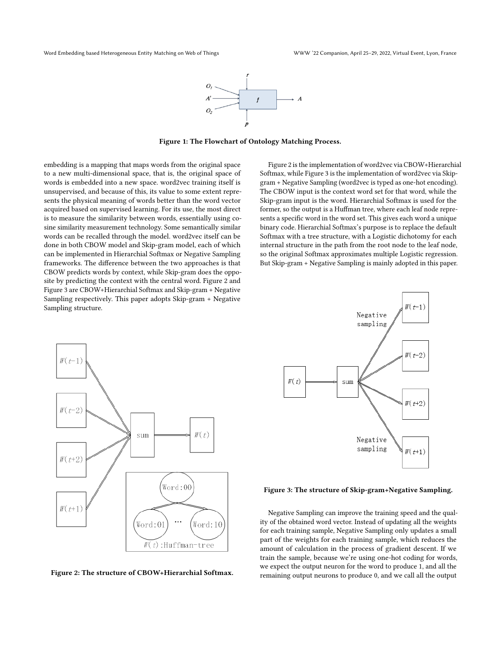

Figure 1: The Flowchart of Ontology Matching Process.

embedding is a mapping that maps words from the original space to a new multi-dimensional space, that is, the original space of words is embedded into a new space. word2vec training itself is unsupervised, and because of this, its value to some extent represents the physical meaning of words better than the word vector acquired based on supervised learning. For its use, the most direct is to measure the similarity between words, essentially using cosine similarity measurement technology. Some semantically similar words can be recalled through the model. word2vec itself can be done in both CBOW model and Skip-gram model, each of which can be implemented in Hierarchial Softmax or Negative Sampling frameworks. The difference between the two approaches is that CBOW predicts words by context, while Skip-gram does the opposite by predicting the context with the central word. Figure 2 and Figure 3 are CBOW+Hierarchial Softmax and Skip-gram + Negative Sampling respectively. This paper adopts Skip-gram + Negative Sampling structure.

Figure 2 is the implementation of word2vec via CBOW+Hierarchial Softmax, while Figure 3 is the implementation of word2vec via Skipgram + Negative Sampling (word2vec is typed as one-hot encoding). The CBOW input is the context word set for that word, while the Skip-gram input is the word. Hierarchial Softmax is used for the former, so the output is a Huffman tree, where each leaf node represents a specific word in the word set. This gives each word a unique binary code. Hierarchial Softmax's purpose is to replace the default Softmax with a tree structure, with a Logistic dichotomy for each internal structure in the path from the root node to the leaf node, so the original Softmax approximates multiple Logistic regression. But Skip-gram + Negative Sampling is mainly adopted in this paper.



Figure 2: The structure of CBOW+Hierarchial Softmax.



Figure 3: The structure of Skip-gram+Negative Sampling.

Negative Sampling can improve the training speed and the quality of the obtained word vector. Instead of updating all the weights for each training sample, Negative Sampling only updates a small part of the weights for each training sample, which reduces the amount of calculation in the process of gradient descent. If we train the sample, because we're using one-hot coding for words, we expect the output neuron for the word to produce 1, and all the remaining output neurons to produce 0, and we call all the output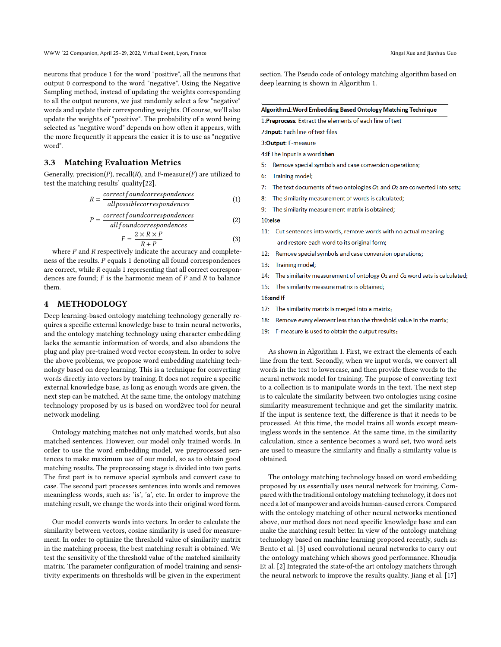neurons that produce 1 for the word "positive", all the neurons that output 0 correspond to the word "negative". Using the Negative Sampling method, instead of updating the weights corresponding to all the output neurons, we just randomly select a few "negative" words and update their corresponding weights. Of course, we'll also update the weights of "positive". The probability of a word being selected as "negative word" depends on how often it appears, with the more frequently it appears the easier it is to use as "negative word".

## 3.3 Matching Evaluation Metrics

Generally, precision(P), recall(R), and F-measure(F) are utilized to test the matching results' quality[\[22\]](#page-6-23).

$$
R = \frac{correctfoundcorrespondences}{all possible correspondsences}
$$
 (1)

$$
P = \frac{correctfoundcorrespondences}{allfoundcorrespondences}
$$
 (2)

$$
F = \frac{2 \times R \times P}{R + P} \tag{3}
$$

where  $P$  and  $R$  respectively indicate the accuracy and completeness of the results.  $P$  equals 1 denoting all found correspondences are correct, while  $R$  equals 1 representing that all correct correspondences are found;  $F$  is the harmonic mean of  $P$  and  $R$  to balance them.

#### 4 METHODOLOGY

Deep learning-based ontology matching technology generally requires a specific external knowledge base to train neural networks, and the ontology matching technology using character embedding lacks the semantic information of words, and also abandons the plug and play pre-trained word vector ecosystem. In order to solve the above problems, we propose word embedding matching technology based on deep learning. This is a technique for converting words directly into vectors by training. It does not require a specific external knowledge base, as long as enough words are given, the next step can be matched. At the same time, the ontology matching technology proposed by us is based on word2vec tool for neural network modeling.

Ontology matching matches not only matched words, but also matched sentences. However, our model only trained words. In order to use the word embedding model, we preprocessed sentences to make maximum use of our model, so as to obtain good matching results. The preprocessing stage is divided into two parts. The first part is to remove special symbols and convert case to case. The second part processes sentences into words and removes meaningless words, such as: 'is', 'a', etc. In order to improve the matching result, we change the words into their original word form.

Our model converts words into vectors. In order to calculate the similarity between vectors, cosine similarity is used for measurement. In order to optimize the threshold value of similarity matrix in the matching process, the best matching result is obtained. We test the sensitivity of the threshold value of the matched similarity matrix. The parameter configuration of model training and sensitivity experiments on thresholds will be given in the experiment

section. The Pseudo code of ontology matching algorithm based on deep learning is shown in Algorithm 1.

#### Algorithm1: Word Embedding Based Ontology Matching Technique

1:Preprocess: Extract the elements of each line of text

2: Input: Each line of text files

3: Output: F-measure

4: if The input is a word then

- $5:$ Remove special symbols and case conversion operations;
- 6: Training model;
- $7<sup>1</sup>$ The text documents of two ontologies  $O_1$  and  $O_2$  are converted into sets;
- $8<sub>1</sub>$ The similarity measurement of words is calculated;
- q. The similarity measurement matrix is obtained;

#### 10:else

- 11: Cut sentences into words, remove words with no actual meaning and restore each word to its original form;
- 12: Remove special symbols and case conversion operations;
- 13: Training model;
- The similarity measurement of ontology  $O_1$  and  $O_2$  word sets is calculated;  $14:$
- $15:$ The similarity measure matrix is obtained;

#### 16:end if

- The similarity matrix is merged into a matrix;  $17:$
- $18:$ Remove every element less than the threshold value in the matrix;
- $19:$ F-measure is used to obtain the output results;

As shown in Algorithm 1. First, we extract the elements of each line from the text. Secondly, when we input words, we convert all words in the text to lowercase, and then provide these words to the neural network model for training. The purpose of converting text to a collection is to manipulate words in the text. The next step is to calculate the similarity between two ontologies using cosine similarity measurement technique and get the similarity matrix. If the input is sentence text, the difference is that it needs to be processed. At this time, the model trains all words except meaningless words in the sentence. At the same time, in the similarity calculation, since a sentence becomes a word set, two word sets are used to measure the similarity and finally a similarity value is obtained.

The ontology matching technology based on word embedding proposed by us essentially uses neural network for training. Compared with the traditional ontology matching technology, it does not need a lot of manpower and avoids human-caused errors. Compared with the ontology matching of other neural networks mentioned above, our method does not need specific knowledge base and can make the matching result better. In view of the ontology matching technology based on machine learning proposed recently, such as: Bento et al. [\[3\]](#page-6-24) used convolutional neural networks to carry out the ontology matching which shows good performance. Khoudja Et al. [\[2\]](#page-6-25) Integrated the state-of-the art ontology matchers through the neural network to improve the results quality. Jiang et al. [\[17\]](#page-6-26)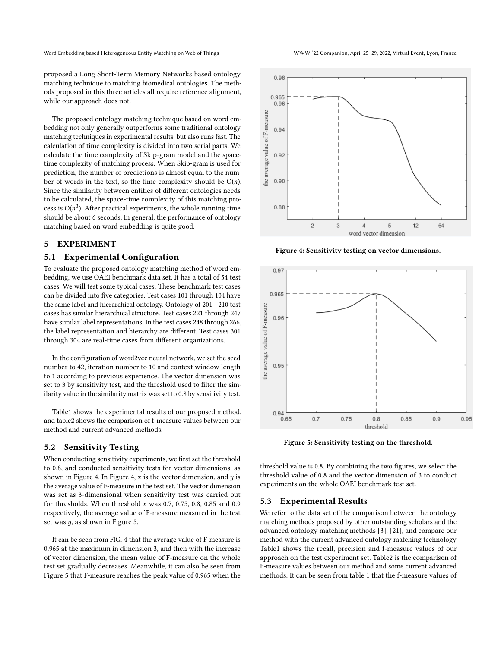Word Embedding based Heterogeneous Entity Matching on Web of Things WAM WACHING WWW '22 Companion, April 25-29, 2022, Virtual Event, Lyon, France

proposed a Long Short-Term Memory Networks based ontology matching technique to matching biomedical ontologies. The methods proposed in this three articles all require reference alignment, while our approach does not.

The proposed ontology matching technique based on word embedding not only generally outperforms some traditional ontology matching techniques in experimental results, but also runs fast. The calculation of time complexity is divided into two serial parts. We calculate the time complexity of Skip-gram model and the spacetime complexity of matching process. When Skip-gram is used for prediction, the number of predictions is almost equal to the number of words in the text, so the time complexity should be  $O(n)$ . Since the similarity between entities of different ontologies needs to be calculated, the space-time complexity of this matching process is  $O(n^3)$ . After practical experiments, the whole running time should be about 6 seconds. In general, the performance of ontology matching based on word embedding is quite good.

## 5 EXPERIMENT

## 5.1 Experimental Configuration

To evaluate the proposed ontology matching method of word embedding, we use OAEI benchmark data set. It has a total of 54 test cases. We will test some typical cases. These benchmark test cases can be divided into five categories. Test cases 101 through 104 have the same label and hierarchical ontology. Ontology of 201 - 210 test cases has similar hierarchical structure. Test cases 221 through 247 have similar label representations. In the test cases 248 through 266, the label representation and hierarchy are different. Test cases 301 through 304 are real-time cases from different organizations.

In the configuration of word2vec neural network, we set the seed number to 42, iteration number to 10 and context window length to 1 according to previous experience. The vector dimension was set to 3 by sensitivity test, and the threshold used to filter the similarity value in the similarity matrix was set to 0.8 by sensitivity test.

Table1 shows the experimental results of our proposed method, and table2 shows the comparison of f-measure values between our method and current advanced methods.

## 5.2 Sensitivity Testing

When conducting sensitivity experiments, we first set the threshold to 0.8, and conducted sensitivity tests for vector dimensions, as shown in Figure 4. In Figure 4,  $x$  is the vector dimension, and  $y$  is the average value of F-measure in the test set. The vector dimension was set as 3-dimensional when sensitivity test was carried out for thresholds. When threshold  $x$  was 0.7, 0.75, 0.8, 0.85 and 0.9 respectively, the average value of F-measure measured in the test set was  $y$ , as shown in Figure 5.

It can be seen from FIG. 4 that the average value of F-measure is 0.965 at the maximum in dimension 3, and then with the increase of vector dimension, the mean value of F-measure on the whole test set gradually decreases. Meanwhile, it can also be seen from Figure 5 that F-measure reaches the peak value of 0.965 when the



Figure 4: Sensitivity testing on vector dimensions.

![](_page_4_Figure_14.jpeg)

Figure 5: Sensitivity testing on the threshold.

threshold value is 0.8. By combining the two figures, we select the threshold value of 0.8 and the vector dimension of 3 to conduct experiments on the whole OAEI benchmark test set.

#### 5.3 Experimental Results

We refer to the data set of the comparison between the ontology matching methods proposed by other outstanding scholars and the advanced ontology matching methods [\[3\]](#page-6-24), [\[21\]](#page-6-2), and compare our method with the current advanced ontology matching technology. Table1 shows the recall, precision and f-measure values of our approach on the test experiment set. Table2 is the comparison of F-measure values between our method and some current advanced methods. It can be seen from table 1 that the f-measure values of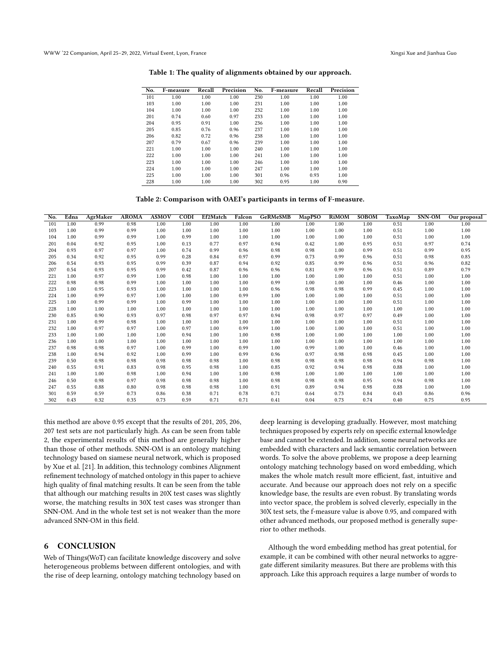| No. | F-measure | Recall | Precision | No. | F-measure | Recall | Precision |
|-----|-----------|--------|-----------|-----|-----------|--------|-----------|
| 101 | 1.00      | 1.00   | 1.00      | 230 | 1.00      | 1.00   | 1.00      |
| 103 | 1.00      | 1.00   | 1.00      | 231 | 1.00      | 1.00   | 1.00      |
| 104 | 1.00      | 1.00   | 1.00      | 232 | 1.00      | 1.00   | 1.00      |
| 201 | 0.74      | 0.60   | 0.97      | 233 | 1.00      | 1.00   | 1.00      |
| 204 | 0.95      | 0.91   | 1.00      | 236 | 1.00      | 1.00   | 1.00      |
| 205 | 0.85      | 0.76   | 0.96      | 237 | 1.00      | 1.00   | 1.00      |
| 206 | 0.82      | 0.72   | 0.96      | 238 | 1.00      | 1.00   | 1.00      |
| 207 | 0.79      | 0.67   | 0.96      | 239 | 1.00      | 1.00   | 1.00      |
| 221 | 1.00      | 1.00   | 1.00      | 240 | 1.00      | 1.00   | 1.00      |
| 222 | 1.00      | 1.00   | 1.00      | 241 | 1.00      | 1.00   | 1.00      |
| 223 | 1.00      | 1.00   | 1.00      | 246 | 1.00      | 1.00   | 1.00      |
| 224 | 1.00      | 1.00   | 1.00      | 247 | 1.00      | 1.00   | 1.00      |
| 225 | 1.00      | 1.00   | 1.00      | 301 | 0.96      | 0.93   | 1.00      |
| 228 | 1.00      | 1.00   | 1.00      | 302 | 0.95      | 1.00   | 0.90      |

#### Table 1: The quality of alignments obtained by our approach.

#### Table 2: Comparison with OAEI's participants in terms of F-measure.

| No. | Edna | AgrMaker | <b>AROMA</b> | <b>ASMOV</b> | <b>CODI</b> | Ef2Match | Falcon | <b>GeRMeSMB</b> | MapPSO | <b>RiMOM</b> | <b>SOBOM</b> | TaxoMap | SNN-OM | Our proposal |
|-----|------|----------|--------------|--------------|-------------|----------|--------|-----------------|--------|--------------|--------------|---------|--------|--------------|
| 101 | 1.00 | 0.99     | 0.98         | 1.00         | 1.00        | 1.00     | 1.00   | 1.00            | 1.00   | 1.00         | 1.00         | 0.51    | 1.00   | 1.00         |
| 103 | 1.00 | 0.99     | 0.99         | 1.00         | 1.00        | 1.00     | 1.00   | 1.00            | 1.00   | 1.00         | 1.00         | 0.51    | 1.00   | 1.00         |
| 104 | 1.00 | 0.99     | 0.99         | 1.00         | 0.99        | 1.00     | 1.00   | 1.00            | 1.00   | 1.00         | 1.00         | 0.51    | 1.00   | 1.00         |
| 201 | 0.04 | 0.92     | 0.95         | 1.00         | 0.13        | 0.77     | 0.97   | 0.94            | 0.42   | 1.00         | 0.95         | 0.51    | 0.97   | 0.74         |
| 204 | 0.93 | 0.97     | 0.97         | 1.00         | 0.74        | 0.99     | 0.96   | 0.98            | 0.98   | 1.00         | 0.99         | 0.51    | 0.99   | 0.95         |
| 205 | 0.34 | 0.92     | 0.95         | 0.99         | 0.28        | 0.84     | 0.97   | 0.99            | 0.73   | 0.99         | 0.96         | 0.51    | 0.98   | 0.85         |
| 206 | 0.54 | 0.93     | 0.95         | 0.99         | 0.39        | 0.87     | 0.94   | 0.92            | 0.85   | 0.99         | 0.96         | 0.51    | 0.96   | 0.82         |
| 207 | 0.54 | 0.93     | 0.95         | 0.99         | 0.42        | 0.87     | 0.96   | 0.96            | 0.81   | 0.99         | 0.96         | 0.51    | 0.89   | 0.79         |
| 221 | 1.00 | 0.97     | 0.99         | 1.00         | 0.98        | 1.00     | 1.00   | 1.00            | 1.00   | 1.00         | 1.00         | 0.51    | 1.00   | 1.00         |
| 222 | 0.98 | 0.98     | 0.99         | 1.00         | 1.00        | 1.00     | 1.00   | 0.99            | 1.00   | 1.00         | 1.00         | 0.46    | 1.00   | 1.00         |
| 223 | 1.00 | 0.95     | 0.93         | 1.00         | 1.00        | 1.00     | 1.00   | 0.96            | 0.98   | 0.98         | 0.99         | 0.45    | 1.00   | 1.00         |
| 224 | 1.00 | 0.99     | 0.97         | 1.00         | 1.00        | 1.00     | 0.99   | 1.00            | 1.00   | 1.00         | 1.00         | 0.51    | 1.00   | 1.00         |
| 225 | 1.00 | 0.99     | 0.99         | 1.00         | 0.99        | 1.00     | 1.00   | 1.00            | 1.00   | 1.00         | 1.00         | 0.51    | 1.00   | 1.00         |
| 228 | 1.00 | 1.00     | 1.00         | 1.00         | 1.00        | 1.00     | 1.00   | 1.00            | 1.00   | 1.00         | 1.00         | 1.00    | 1.00   | 1.00         |
| 230 | 0.85 | 0.90     | 0.93         | 0.97         | 0.98        | 0.97     | 0.97   | 0.94            | 0.98   | 0.97         | 0.97         | 0.49    | 1.00   | 1.00         |
| 231 | 1.00 | 0.99     | 0.98         | 1.00         | 1.00        | 1.00     | 1.00   | 1.00            | 1.00   | 1.00         | 1.00         | 0.51    | 1.00   | 1.00         |
| 232 | 1.00 | 0.97     | 0.97         | 1.00         | 0.97        | 1.00     | 0.99   | 1.00            | 1.00   | 1.00         | 1.00         | 0.51    | 1.00   | 1.00         |
| 233 | 1.00 | 1.00     | 1.00         | 1.00         | 0.94        | 1.00     | 1.00   | 0.98            | 1.00   | 1.00         | 1.00         | 1.00    | 1.00   | 1.00         |
| 236 | 1.00 | 1.00     | 1.00         | 1.00         | 1.00        | 1.00     | 1.00   | 1.00            | 1.00   | 1.00         | 1.00         | 1.00    | 1.00   | 1.00         |
| 237 | 0.98 | 0.98     | 0.97         | 1.00         | 0.99        | 1.00     | 0.99   | 1.00            | 0.99   | 1.00         | 1.00         | 0.46    | 1.00   | 1.00         |
| 238 | 1.00 | 0.94     | 0.92         | 1.00         | 0.99        | 1.00     | 0.99   | 0.96            | 0.97   | 0.98         | 0.98         | 0.45    | 1.00   | 1.00         |
| 239 | 0.50 | 0.98     | 0.98         | 0.98         | 0.98        | 0.98     | 1.00   | 0.98            | 0.98   | 0.98         | 0.98         | 0.94    | 0.98   | 1.00         |
| 240 | 0.55 | 0.91     | 0.83         | 0.98         | 0.95        | 0.98     | 1.00   | 0.85            | 0.92   | 0.94         | 0.98         | 0.88    | 1.00   | 1.00         |
| 241 | 1.00 | 1.00     | 0.98         | 1.00         | 0.94        | 1.00     | 1.00   | 0.98            | 1.00   | 1.00         | 1.00         | 1.00    | 1.00   | 1.00         |
| 246 | 0.50 | 0.98     | 0.97         | 0.98         | 0.98        | 0.98     | 1.00   | 0.98            | 0.98   | 0.98         | 0.95         | 0.94    | 0.98   | 1.00         |
| 247 | 0.55 | 0.88     | 0.80         | 0.98         | 0.98        | 0.98     | 1.00   | 0.91            | 0.89   | 0.94         | 0.98         | 0.88    | 1.00   | 1.00         |
| 301 | 0.59 | 0.59     | 0.73         | 0.86         | 0.38        | 0.71     | 0.78   | 0.71            | 0.64   | 0.73         | 0.84         | 0.43    | 0.86   | 0.96         |
| 302 | 0.43 | 0.32     | 0.35         | 0.73         | 0.59        | 0.71     | 0.71   | 0.41            | 0.04   | 0.73         | 0.74         | 0.40    | 0.75   | 0.95         |

this method are above 0.95 except that the results of 201, 205, 206, 207 test sets are not particularly high. As can be seen from table 2, the experimental results of this method are generally higher than those of other methods. SNN-OM is an ontology matching technology based on siamese neural network, which is proposed by Xue et al. [\[21\]](#page-6-2). In addition, this technology combines Alignment refinement technology of matched ontology in this paper to achieve high quality of final matching results. It can be seen from the table that although our matching results in 20X test cases was slightly worse, the matching results in 30X test cases was stronger than SNN-OM. And in the whole test set is not weaker than the more advanced SNN-OM in this field.

## 6 CONCLUSION

Web of Things(WoT) can facilitate knowledge discovery and solve heterogeneous problems between different ontologies, and with the rise of deep learning, ontology matching technology based on

deep learning is developing gradually. However, most matching techniques proposed by experts rely on specific external knowledge base and cannot be extended. In addition, some neural networks are embedded with characters and lack semantic correlation between words. To solve the above problems, we propose a deep learning ontology matching technology based on word embedding, which makes the whole match result more efficient, fast, intuitive and accurate. And because our approach does not rely on a specific knowledge base, the results are even robust. By translating words into vector space, the problem is solved cleverly, especially in the 30X test sets, the f-measure value is above 0.95, and compared with other advanced methods, our proposed method is generally superior to other methods.

Although the word embedding method has great potential, for example, it can be combined with other neural networks to aggregate different similarity measures. But there are problems with this approach. Like this approach requires a large number of words to